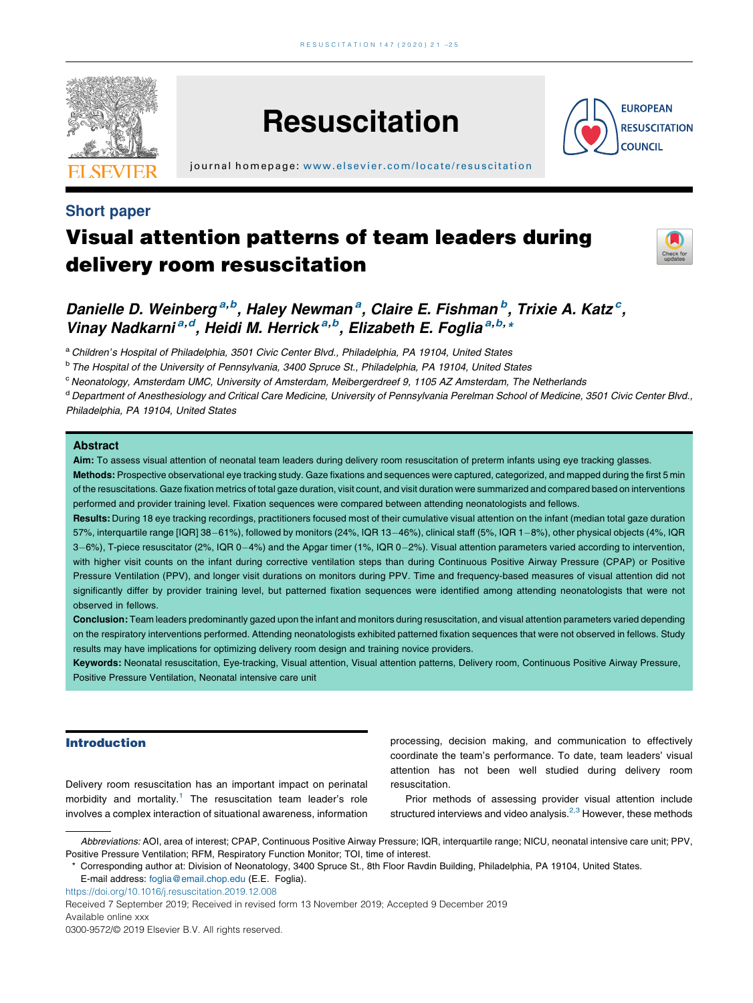

Short paper

# **Resuscitation**

j ournal home page: [www.elsevier.com/locate/resus](www.elsevier.com/locate/resuscitation) citation

## Visual attention patterns of team leaders during delivery room resuscitation



**EUROPEAN RESUSCITATION COUNCIL** 

### Danielle D. Weinberg<sup>a,b</sup>, Haley Newman<sup>a</sup>, Claire E. Fishman<sup>b</sup>, Trixie A. Katz<sup>c</sup>, Vinay Nadkarni<sup>a,d</sup>, Heidi M. Herrick<sup>a,b</sup>, Elizabeth E. Foglia<sup>a,b, x</sup>

a Children's Hospital of Philadelphia, 3501 Civic Center Blvd., Philadelphia, PA 19104, United States

<sup>b</sup> The Hospital of the University of Pennsylvania, 3400 Spruce St., Philadelphia, PA 19104, United States

<sup>c</sup> Neonatology, Amsterdam UMC, University of Amsterdam, Meibergerdreef 9, 1105 AZ Amsterdam, The Netherlands

<sup>d</sup> Department of Anesthesiology and Critical Care Medicine, University of Pennsylvania Perelman School of Medicine, 3501 Civic Center Blvd., Philadelphia, PA 19104, United States

#### **Abstract**

Aim: To assess visual attention of neonatal team leaders during delivery room resuscitation of preterm infants using eye tracking glasses.

Methods: Prospective observational eye tracking study. Gaze fixations and sequences were captured, categorized, and mapped during the first 5 min of the resuscitations. Gaze fixation metrics of total gaze duration, visit count, and visit duration were summarized and compared based on interventions performed and provider training level. Fixation sequences were compared between attending neonatologists and fellows.

Results: During 18 eye tracking recordings, practitioners focused most of their cumulative visual attention on the infant (median total gaze duration 57%, interquartile range [IQR] 38-61%), followed by monitors (24%, IQR 13-46%), clinical staff (5%, IQR 1-8%), other physical objects (4%, IQR 3-6%), T-piece resuscitator (2%, IQR 0-4%) and the Apgar timer (1%, IQR 0-2%). Visual attention parameters varied according to intervention, with higher visit counts on the infant during corrective ventilation steps than during Continuous Positive Airway Pressure (CPAP) or Positive Pressure Ventilation (PPV), and longer visit durations on monitors during PPV. Time and frequency-based measures of visual attention did not significantly differ by provider training level, but patterned fixation sequences were identified among attending neonatologists that were not observed in fellows.

Conclusion: Team leaders predominantly gazed upon the infant and monitors during resuscitation, and visual attention parameters varied depending on the respiratory interventions performed. Attending neonatologists exhibited patterned fixation sequences that were not observed in fellows. Study results may have implications for optimizing delivery room design and training novice providers.

Keywords: Neonatal resuscitation, Eye-tracking, Visual attention, Visual attention patterns, Delivery room, Continuous Positive Airway Pressure, Positive Pressure Ventilation, Neonatal intensive care unit

#### Introduction

Delivery room resuscitation has an important impact on perinatal morbidity and mortality.<sup>[1](#page-3-0)</sup> The resuscitation team leader's role involves a complex interaction of situational awareness, information

processing, decision making, and communication to effectively coordinate the team's performance. To date, team leaders' visual attention has not been well studied during delivery room resuscitation.

Prior methods of assessing provider visual attention include structured interviews and video analysis. $2,3$  [However,](#page-3-0) these methods

<https://doi.org/10.1016/j.resuscitation.2019.12.008>

Abbreviations: AOI, area of interest; CPAP, Continuous Positive Airway Pressure; IQR, interquartile range; NICU, neonatal intensive care unit; PPV, Positive Pressure Ventilation; RFM, Respiratory Function Monitor; TOI, time of interest.

<sup>\*</sup> Corresponding author at: Division of Neonatology, 3400 Spruce St., 8th Floor Ravdin Building, Philadelphia, PA 19104, United States. E-mail address: [foglia@email.chop.edu](mailto:foglia@email.chop.edu) (E.E. Foglia).

Received 7 September 2019; Received in revised form 13 November 2019; Accepted 9 December 2019 Available online xxx

<sup>0300-9572/</sup>© 2019 Elsevier B.V. All rights reserved.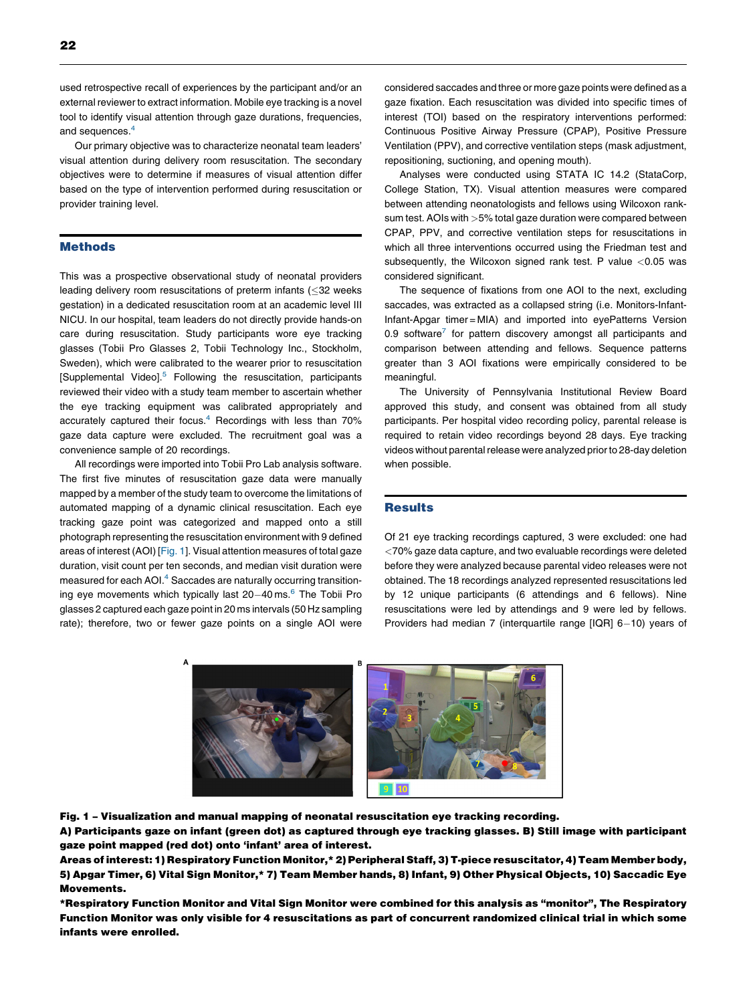used retrospective recall of experiences by the participant and/or an external reviewer to extract information. Mobile eye tracking is a novel tool to identify visual attention through gaze durations, frequencies, and sequences.<sup>[4](#page-3-0)</sup>

Our primary objective was to characterize neonatal team leaders' visual attention during delivery room resuscitation. The secondary objectives were to determine if measures of visual attention differ based on the type of intervention performed during resuscitation or provider training level.

#### **Methods**

This was a prospective observational study of neonatal providers leading delivery room resuscitations of preterm infants (<32 weeks gestation) in a dedicated resuscitation room at an academic level III NICU. In our hospital, team leaders do not directly provide hands-on care during resuscitation. Study participants wore eye tracking glasses (Tobii Pro Glasses 2, Tobii Technology Inc., Stockholm, Sweden), which were calibrated to the wearer prior to resuscitation [Supplemental Video].<sup>5</sup> Following the resuscitation, participants reviewed their video with a study team member to ascertain whether the eye tracking equipment was calibrated appropriately and accurately captured their focus.<sup>4</sup> Recordings with less than 70% gaze data capture were excluded. The recruitment goal was a convenience sample of 20 recordings.

All recordings were imported into Tobii Pro Lab analysis software. The first five minutes of resuscitation gaze data were manually mapped by a member of the study team to overcome the limitations of automated mapping of a dynamic clinical resuscitation. Each eye tracking gaze point was categorized and mapped onto a still photograph representing the resuscitation environment with 9 defined areas of interest (AOI) [Fig. 1]. Visual attention measures of total gaze duration, visit count per ten seconds, and median visit duration were measured for each AOI.<sup>4</sup> Saccades are naturally occurring transitioning eye movements which typically last  $20-40$  ms.<sup>[6](#page-3-0)</sup> The Tobii Pro glasses 2 captured each gaze point in 20 ms intervals (50 Hz sampling rate); therefore, two or fewer gaze points on a single AOI were considered saccades and three or more gaze points were defined as a gaze fixation. Each resuscitation was divided into specific times of interest (TOI) based on the respiratory interventions performed: Continuous Positive Airway Pressure (CPAP), Positive Pressure Ventilation (PPV), and corrective ventilation steps (mask adjustment, repositioning, suctioning, and opening mouth).

Analyses were conducted using STATA IC 14.2 (StataCorp, College Station, TX). Visual attention measures were compared between attending neonatologists and fellows using Wilcoxon ranksum test. AOIs with >5% total gaze duration were compared between CPAP, PPV, and corrective ventilation steps for resuscitations in which all three interventions occurred using the Friedman test and subsequently, the Wilcoxon signed rank test. P value  $<$  0.05 was considered significant.

The sequence of fixations from one AOI to the next, excluding saccades, was extracted as a collapsed string (i.e. Monitors-Infant-Infant-Apgar timer = MIA) and imported into eyePatterns Version 0.9 software $^7$  $^7$  for pattern discovery amongst all participants and comparison between attending and fellows. Sequence patterns greater than 3 AOI fixations were empirically considered to be meaningful.

The University of Pennsylvania Institutional Review Board approved this study, and consent was obtained from all study participants. Per hospital video recording policy, parental release is required to retain video recordings beyond 28 days. Eye tracking videos without parental release were analyzed prior to 28-day deletion when possible.

#### **Results**

Of 21 eye tracking recordings captured, 3 were excluded: one had <70% gaze data capture, and two evaluable recordings were deleted before they were analyzed because parental video releases were not obtained. The 18 recordings analyzed represented resuscitations led by 12 unique participants (6 attendings and 6 fellows). Nine resuscitations were led by attendings and 9 were led by fellows. Providers had median 7 (interquartile range  $[IQR]$  6-10) years of



Fig. 1 – Visualization and manual mapping of neonatal resuscitation eye tracking recording. A) Participants gaze on infant (green dot) as captured through eye tracking glasses. B) Still image with participant gaze point mapped (red dot) onto 'infant' area of interest.

Areas of interest: 1) Respiratory Function Monitor,\* 2) Peripheral Staff, 3) T-piece resuscitator, 4) Team Member body, 5) Apgar Timer, 6) Vital Sign Monitor,\* 7) Team Member hands, 8) Infant, 9) Other Physical Objects, 10) Saccadic Eye Movements.

\*Respiratory Function Monitor and Vital Sign Monitor were combined for this analysis as "monitor", The Respiratory Function Monitor was only visible for 4 resuscitations as part of concurrent randomized clinical trial in which some infants were enrolled.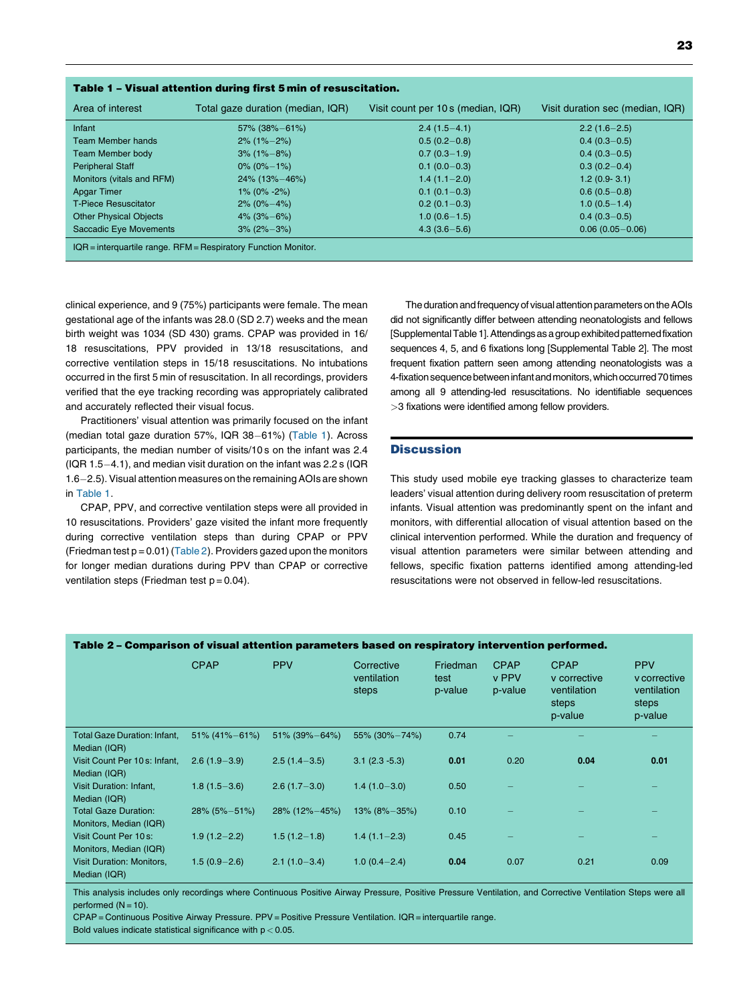| Table 1 - Visual attention during first 5 min of resuscitation.    |                                                                         |                  |                                  |  |  |  |  |  |
|--------------------------------------------------------------------|-------------------------------------------------------------------------|------------------|----------------------------------|--|--|--|--|--|
| Area of interest                                                   | Total gaze duration (median, IQR)<br>Visit count per 10 s (median, IQR) |                  | Visit duration sec (median, IQR) |  |  |  |  |  |
| Infant                                                             | $57\%$ (38%-61%)                                                        | $2.4(1.5-4.1)$   | $2.2(1.6-2.5)$                   |  |  |  |  |  |
| <b>Team Member hands</b>                                           | $2\%$ (1% $-2\%$ )                                                      | $0.5(0.2-0.8)$   | $0.4(0.3-0.5)$                   |  |  |  |  |  |
| <b>Team Member body</b>                                            | $3\%$ (1% $-8\%$ )                                                      | $0.7(0.3-1.9)$   | $0.4(0.3-0.5)$                   |  |  |  |  |  |
| <b>Peripheral Staff</b>                                            | $0\%$ (0% $-1\%$ )                                                      | $0.1(0.0-0.3)$   | $0.3(0.2-0.4)$                   |  |  |  |  |  |
| Monitors (vitals and RFM)                                          | $24\%$ (13% – 46%)                                                      | $1.4(1.1 - 2.0)$ | $1.2(0.9-3.1)$                   |  |  |  |  |  |
| <b>Apgar Timer</b>                                                 | $1\%$ (0% -2%)                                                          | $0.1(0.1-0.3)$   | $0.6(0.5-0.8)$                   |  |  |  |  |  |
| <b>T-Piece Resuscitator</b>                                        | $2\%$ (0% $-4\%$ )                                                      | $0.2(0.1-0.3)$   | $1.0(0.5-1.4)$                   |  |  |  |  |  |
| <b>Other Physical Objects</b>                                      | $4\%$ (3%-6%)                                                           | $1.0(0.6-1.5)$   | $0.4(0.3-0.5)$                   |  |  |  |  |  |
| Saccadic Eye Movements                                             | $3\%$ (2% $-3\%$ )                                                      | $4.3(3.6 - 5.6)$ | $0.06(0.05 - 0.06)$              |  |  |  |  |  |
| $IQR =$ interquartile range. $RFM =$ Respiratory Function Monitor. |                                                                         |                  |                                  |  |  |  |  |  |

clinical experience, and 9 (75%) participants were female. The mean gestational age of the infants was 28.0 (SD 2.7) weeks and the mean birth weight was 1034 (SD 430) grams. CPAP was provided in 16/ 18 resuscitations, PPV provided in 13/18 resuscitations, and corrective ventilation steps in 15/18 resuscitations. No intubations occurred in the first 5 min of resuscitation. In all recordings, providers verified that the eye tracking recording was appropriately calibrated and accurately reflected their visual focus.

Practitioners' visual attention was primarily focused on the infant (median total gaze duration 57%, IQR  $38-61%$ ) (Table 1). Across participants, the median number of visits/10 s on the infant was 2.4  $(1QR 1.5-4.1)$ , and median visit duration on the infant was 2.2 s  $(1QR 1.5-4.1)$ 1.6-2.5). Visual attention measures on the remaining AOIs are shown in Table 1.

CPAP, PPV, and corrective ventilation steps were all provided in 10 resuscitations. Providers' gaze visited the infant more frequently during corrective ventilation steps than during CPAP or PPV (Friedman test  $p = 0.01$ ) (Table 2). Providers gazed upon the monitors for longer median durations during PPV than CPAP or corrective ventilation steps (Friedman test  $p = 0.04$ ).

The duration and frequency of visual attention parameters on the AOIs did not significantly differ between attending neonatologists and fellows [SupplementalTable 1].Attendings as a group exhibited patternedfixation sequences 4, 5, and 6 fixations long [Supplemental Table 2]. The most frequent fixation pattern seen among attending neonatologists was a 4-fixation sequence between infant and monitors, which occurred 70 times among all 9 attending-led resuscitations. No identifiable sequences >3 fixations were identified among fellow providers.

#### **Discussion**

This study used mobile eye tracking glasses to characterize team leaders' visual attention during delivery room resuscitation of preterm infants. Visual attention was predominantly spent on the infant and monitors, with differential allocation of visual attention based on the clinical intervention performed. While the duration and frequency of visual attention parameters were similar between attending and fellows, specific fixation patterns identified among attending-led resuscitations were not observed in fellow-led resuscitations.

| Table 2 – Comparison of visual attention parameters based on respiratory intervention performed. |                      |                  |                                    |                             |                                 |                                                                |                                                               |  |  |
|--------------------------------------------------------------------------------------------------|----------------------|------------------|------------------------------------|-----------------------------|---------------------------------|----------------------------------------------------------------|---------------------------------------------------------------|--|--|
|                                                                                                  | <b>CPAP</b>          | <b>PPV</b>       | Corrective<br>ventilation<br>steps | Friedman<br>test<br>p-value | <b>CPAP</b><br>v PPV<br>p-value | <b>CPAP</b><br>v corrective<br>ventilation<br>steps<br>p-value | <b>PPV</b><br>y corrective<br>ventilation<br>steps<br>p-value |  |  |
| <b>Total Gaze Duration: Infant,</b><br>Median (IQR)                                              | $51\% (41\% - 61\%)$ | $51\%$ (39%-64%) | 55% (30%-74%)                      | 0.74                        |                                 |                                                                |                                                               |  |  |
| Visit Count Per 10s: Infant,<br>Median (IQR)                                                     | $2.6(1.9 - 3.9)$     | $2.5(1.4-3.5)$   | $3.1(2.3 - 5.3)$                   | 0.01                        | 0.20                            | 0.04                                                           | 0.01                                                          |  |  |
| Visit Duration: Infant,<br>Median (IQR)                                                          | $1.8(1.5 - 3.6)$     | $2.6(1.7 - 3.0)$ | $1.4(1.0-3.0)$                     | 0.50                        |                                 |                                                                |                                                               |  |  |
| <b>Total Gaze Duration:</b><br>Monitors, Median (IQR)                                            | $28\%$ (5% $-51\%$ ) | 28% (12%-45%)    | $13\%$ (8% $-35\%$ )               | 0.10                        |                                 |                                                                |                                                               |  |  |
| Visit Count Per 10 s:<br>Monitors, Median (IQR)                                                  | $1.9(1.2 - 2.2)$     | $1.5(1.2 - 1.8)$ | $1.4(1.1 - 2.3)$                   | 0.45                        |                                 |                                                                |                                                               |  |  |
| <b>Visit Duration: Monitors,</b><br>Median (IQR)                                                 | $1.5(0.9 - 2.6)$     | $2.1(1.0-3.4)$   | $1.0(0.4 - 2.4)$                   | 0.04                        | 0.07                            | 0.21                                                           | 0.09                                                          |  |  |

This analysis includes only recordings where Continuous Positive Airway Pressure, Positive Pressure Ventilation, and Corrective Ventilation Steps were all performed  $(N = 10)$ .

CPAP = Continuous Positive Airway Pressure. PPV =Positive Pressure Ventilation. IQR = interquartile range. Bold values indicate statistical significance with  $p < 0.05$ .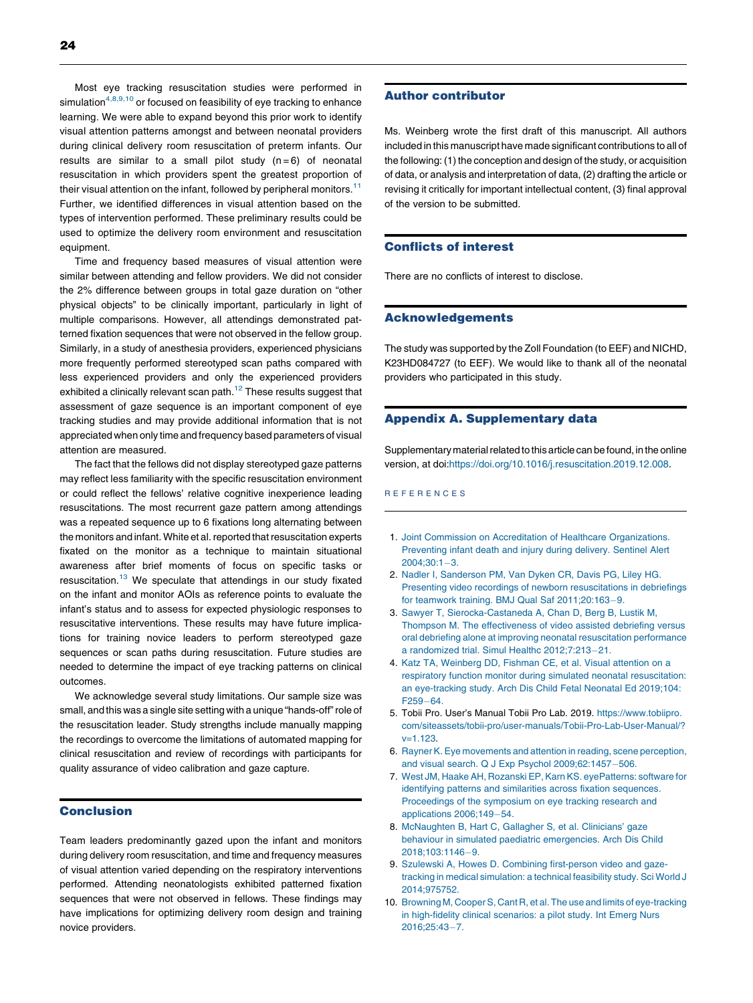<span id="page-3-0"></span>Most eye tracking resuscitation studies were performed in simulation $4,8,9,10$  or focused on feasibility of eye tracking to enhance learning. We were able to expand beyond this prior work to identify visual attention patterns amongst and between neonatal providers during clinical delivery room resuscitation of preterm infants. Our results are similar to a small pilot study  $(n=6)$  of neonatal resuscitation in which providers spent the greatest proportion of their visual attention on the infant, followed by peripheral monitors.<sup>[11](#page-4-0)</sup> Further, we identified differences in visual attention based on the types of intervention performed. These preliminary results could be used to optimize the delivery room environment and resuscitation equipment.

Time and frequency based measures of visual attention were similar between attending and fellow providers. We did not consider the 2% difference between groups in total gaze duration on "other physical objects" to be clinically important, particularly in light of multiple comparisons. However, all attendings demonstrated patterned fixation sequences that were not observed in the fellow group. Similarly, in a study of anesthesia providers, experienced physicians more frequently performed stereotyped scan paths compared with less experienced providers and only the experienced providers exhibited a clinically relevant scan path. $12$  These results suggest that assessment of gaze sequence is an important component of eye tracking studies and may provide additional information that is not appreciated when only time and frequency based parameters of visual attention are measured.

The fact that the fellows did not display stereotyped gaze patterns may reflect less familiarity with the specific resuscitation environment or could reflect the fellows' relative cognitive inexperience leading resuscitations. The most recurrent gaze pattern among attendings was a repeated sequence up to 6 fixations long alternating between the monitors and infant. White et al. reported that resuscitation experts fixated on the monitor as a technique to maintain situational awareness after brief moments of focus on specific tasks or resuscitation[.13](#page-4-0) We speculate that attendings in our study fixated on the infant and monitor AOIs as reference points to evaluate the infant's status and to assess for expected physiologic responses to resuscitative interventions. These results may have future implications for training novice leaders to perform stereotyped gaze sequences or scan paths during resuscitation. Future studies are needed to determine the impact of eye tracking patterns on clinical outcomes.

We acknowledge several study limitations. Our sample size was small, and this was a single site setting with a unique "hands-off"role of the resuscitation leader. Study strengths include manually mapping the recordings to overcome the limitations of automated mapping for clinical resuscitation and review of recordings with participants for quality assurance of video calibration and gaze capture.

#### Conclusion

Team leaders predominantly gazed upon the infant and monitors during delivery room resuscitation, and time and frequency measures of visual attention varied depending on the respiratory interventions performed. Attending neonatologists exhibited patterned fixation sequences that were not observed in fellows. These findings may have implications for optimizing delivery room design and training novice providers.

#### Author contributor

Ms. Weinberg wrote the first draft of this manuscript. All authors included in this manuscript have made significant contributions to all of the following: (1) the conception and design of the study, or acquisition of data, or analysis and interpretation of data, (2) drafting the article or revising it critically for important intellectual content, (3) final approval of the version to be submitted.

#### Conflicts of interest

There are no conflicts of interest to disclose.

#### Acknowledgements

The study was supported by the Zoll Foundation (to EEF) and NICHD, K23HD084727 (to EEF). We would like to thank all of the neonatal providers who participated in this study.

#### Appendix A. Supplementary data

Supplementary material related to this article can be found, in the online version, at doi[:https://doi.org/10.1016/j.resuscitation.2019.12.008](https://doi.org/10.1016/j.resuscitation.2019.12.008).

#### R E F E R E N C E S

- 1. Joint Commission on Accreditation of Healthcare [Organizations.](http://refhub.elsevier.com/S0300-9572(19)30731-2/sbref0005) [Preventing](http://refhub.elsevier.com/S0300-9572(19)30731-2/sbref0005) infant death and injury during delivery. Sentinel Alert  $2004;30:1-3.$  $2004;30:1-3.$
- 2. Nadler I, [Sanderson](http://refhub.elsevier.com/S0300-9572(19)30731-2/sbref0010) PM, Van Dyken CR, Davis PG, Liley HG. Presenting video recordings of newborn [resuscitations](http://refhub.elsevier.com/S0300-9572(19)30731-2/sbref0010) in debriefings for teamwork training. BMJ Qual Saf  $2011;20:163-9$  $2011;20:163-9$ .
- 3. Sawyer T, [Sierocka-Castaneda](http://refhub.elsevier.com/S0300-9572(19)30731-2/sbref0015) A, Chan D, Berg B, Lustik M, Thompson M. The [effectiveness](http://refhub.elsevier.com/S0300-9572(19)30731-2/sbref0015) of video assisted debriefing versus oral debriefing alone at improving neonatal [resuscitation](http://refhub.elsevier.com/S0300-9572(19)30731-2/sbref0015) performance a [randomized](http://refhub.elsevier.com/S0300-9572(19)30731-2/sbref0015) trial. Simul Healthc 2012;7:213-21.
- 4. Katz TA, [Weinberg](http://refhub.elsevier.com/S0300-9572(19)30731-2/sbref0020) DD, Fishman CE, et al. Visual attention on a respiratory function monitor during simulated neonatal [resuscitation:](http://refhub.elsevier.com/S0300-9572(19)30731-2/sbref0020) an [eye-tracking](http://refhub.elsevier.com/S0300-9572(19)30731-2/sbref0020) study. Arch Dis Child Fetal Neonatal Ed 2019;104:  $F259 - 64.$  $F259 - 64.$
- 5. Tobii Pro. User's Manual Tobii Pro Lab. 2019. [https://www.tobiipro.](https://www.tobiipro.com/siteassets/tobii-pro/user-manuals/Tobii-Pro-Lab-User-Manual/?v=1.123) [com/siteassets/tobii-pro/user-manuals/Tobii-Pro-Lab-User-Manual/?](https://www.tobiipro.com/siteassets/tobii-pro/user-manuals/Tobii-Pro-Lab-User-Manual/?v=1.123) [v=1.123.](https://www.tobiipro.com/siteassets/tobii-pro/user-manuals/Tobii-Pro-Lab-User-Manual/?v=1.123)
- 6. Rayner K. Eye [movements](http://refhub.elsevier.com/S0300-9572(19)30731-2/sbref0030) and attention in reading, scene perception, and visual search. Q J Exp Psychol  $2009;62:1457-506$  $2009;62:1457-506$ .
- 7. West JM, Haake AH, Rozanski EP, Karn KS. [eyePatterns:](http://refhub.elsevier.com/S0300-9572(19)30731-2/sbref0035) software for identifying patterns and similarities across fixation [sequences.](http://refhub.elsevier.com/S0300-9572(19)30731-2/sbref0035) [Proceedings](http://refhub.elsevier.com/S0300-9572(19)30731-2/sbref0035) of the symposium on eye tracking research and [applications](http://refhub.elsevier.com/S0300-9572(19)30731-2/sbref0035)  $2006:149-54$ .
- 8. [McNaughten](http://refhub.elsevier.com/S0300-9572(19)30731-2/sbref0040) B, Hart C, Gallagher S, et al. Clinicians' gaze behaviour in simulated paediatric [emergencies.](http://refhub.elsevier.com/S0300-9572(19)30731-2/sbref0040) Arch Dis Child 2018:103:1146-9.
- 9. Szulewski A, Howes D. Combining [first-person](http://refhub.elsevier.com/S0300-9572(19)30731-2/sbref0045) video and gazetracking in medical [simulation:](http://refhub.elsevier.com/S0300-9572(19)30731-2/sbref0045) a technical feasibility study. Sci World J [2014;975752.](http://refhub.elsevier.com/S0300-9572(19)30731-2/sbref0045)
- 10. Browning M, Cooper S, Cant R, et al. The use and limits of [eye-tracking](http://refhub.elsevier.com/S0300-9572(19)30731-2/sbref0050) in [high-fidelity](http://refhub.elsevier.com/S0300-9572(19)30731-2/sbref0050) clinical scenarios: a pilot study. Int Emerg Nurs 2016:25:43-7.